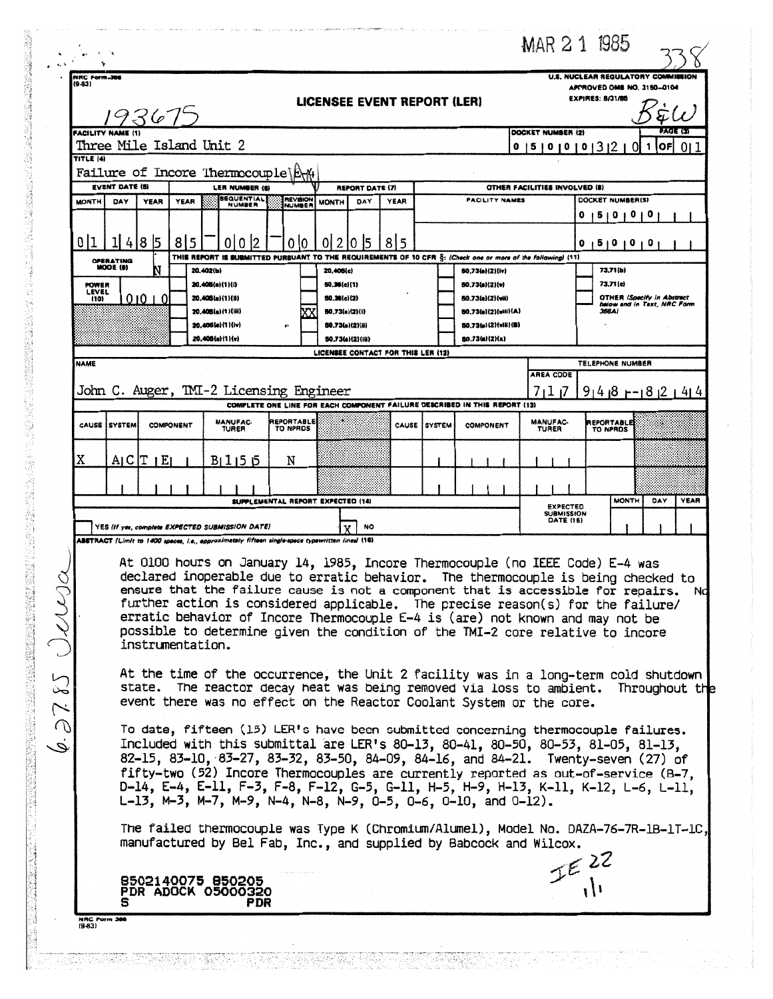|                                                                                                                       |                                                                                                                              |                     |                                                                                                  |                               |                                                                                     |      |               |                                                                                                                                                                                                                                                                                                                                                                                                                                                                                                              | MAR 2 1 1985                                                                                  |                                                                                                |                             |
|-----------------------------------------------------------------------------------------------------------------------|------------------------------------------------------------------------------------------------------------------------------|---------------------|--------------------------------------------------------------------------------------------------|-------------------------------|-------------------------------------------------------------------------------------|------|---------------|--------------------------------------------------------------------------------------------------------------------------------------------------------------------------------------------------------------------------------------------------------------------------------------------------------------------------------------------------------------------------------------------------------------------------------------------------------------------------------------------------------------|-----------------------------------------------------------------------------------------------|------------------------------------------------------------------------------------------------|-----------------------------|
| NRC Form.366<br>$(9-83)$                                                                                              |                                                                                                                              | 193675              |                                                                                                  |                               | <b>LICENSEE EVENT REPORT (LER)</b>                                                  |      |               |                                                                                                                                                                                                                                                                                                                                                                                                                                                                                                              |                                                                                               | U.S. NUCLEAR REGULATORY COMMISSION<br>APPROVED OMB NO. 3150-0104<br><b>EXPIRES: 8/31/85</b>    |                             |
| TITLE (4)                                                                                                             | <b>FACILITY NAME (1)</b><br>Three Mile Island Unit 2                                                                         |                     |                                                                                                  |                               |                                                                                     |      |               |                                                                                                                                                                                                                                                                                                                                                                                                                                                                                                              | <b>PAGE (3)</b><br>DOCKET NUMBER (2)<br>OF<br>0   5   0   0   0   3   2  <br>-011<br>ΩI<br>-1 |                                                                                                |                             |
|                                                                                                                       | Failure of Incore Thermocouple\E\#<br><b>EVENT DATE (S)</b><br>LER NUMBER (6)<br><b>REPORT DATE (7)</b><br><b>BEQUENTIAL</b> |                     |                                                                                                  |                               |                                                                                     |      |               | OTHER FACILITIES INVOLVED (8)                                                                                                                                                                                                                                                                                                                                                                                                                                                                                |                                                                                               |                                                                                                |                             |
| <b>MONTH</b>                                                                                                          | DAY                                                                                                                          | <b>YEAR</b><br>YEAR | NUMBER                                                                                           | NUMBER                        | <b>MONTH</b><br>DAY                                                                 | YEAR |               | <b>FACILITY NAMES</b>                                                                                                                                                                                                                                                                                                                                                                                                                                                                                        |                                                                                               | DOCKET NUMBER(S)<br>5   0   0                                                                  | o                           |
| 011                                                                                                                   | 4<br><b>OPERATING</b><br>MODE (9)                                                                                            | l8  5<br>815        | $\mathsf{I}2$<br>010<br>20.402(b)                                                                | 0   0                         | 0121015<br>20,406(c)                                                                | 8 5  |               | THI <b>S REPORT IS SUBMITTED PURSUANT TO THE REQUIREMENTS OF 10 CFR <math>\S:</math> (Check one or more of the following) (11)</b><br>50.73(a)(2)(iv)                                                                                                                                                                                                                                                                                                                                                        |                                                                                               | 5 0 0 0 <br>0<br>73.71 (b)                                                                     |                             |
| <b>POWER</b><br>LEVEL<br>(10)                                                                                         |                                                                                                                              | 01010               | 20.405(a)(1)(l)<br>20.405(a)(1)(H)<br>20.406(a)(1)(iii)<br>20,406(a)(1)(iv)<br>20.405(a)(1)(v)   |                               | 50.36(c)(1)<br>50.36(c)(2)<br>50.73(a)(2)(i)<br>50.73(a)(2)(ii)<br>50.73(a)(2)(iii) |      |               | 50.73(a)(2)(v)<br><b>BO.73(a)(2)(vii)</b><br>60.73(a)(2)(viii)(A)<br>50,73(a)(2)(viii)(B)<br>50.73(a)(2)(x)                                                                                                                                                                                                                                                                                                                                                                                                  |                                                                                               | 73.71(c)<br><b>OTHER (Specify in Abstract</b><br>366A)                                         | below and in Text, NRC Form |
| <b>NAME</b>                                                                                                           |                                                                                                                              |                     |                                                                                                  |                               | LICENSEE CONTACT FOR THIS LER (12)                                                  |      |               |                                                                                                                                                                                                                                                                                                                                                                                                                                                                                                              | <b>AREA CODE</b>                                                                              | TELEPHONE NUMBER                                                                               |                             |
| John C. Auger, TMI-2 Licensing Engineer<br>COMPLETE ONE LINE FOR EACH COMPONENT FAILURE DESCRIBED IN THIS REPORT (13) |                                                                                                                              |                     |                                                                                                  |                               |                                                                                     |      |               |                                                                                                                                                                                                                                                                                                                                                                                                                                                                                                              | 7117                                                                                          | $91418 + 1812144$                                                                              |                             |
|                                                                                                                       | CAUSE ISYSTEM                                                                                                                | <b>COMPONENT</b>    | <b>MANUFAC-</b><br><b>TURER</b>                                                                  | <b>REPORTABLE</b><br>TO NPROS |                                                                                     |      | CAUSE ISYSTEM | <b>COMPONENT</b>                                                                                                                                                                                                                                                                                                                                                                                                                                                                                             | <b>MANUFAC-</b><br>TURER                                                                      | REPORTABLE<br>TO NPRDS                                                                         |                             |
| Χ                                                                                                                     |                                                                                                                              | A C T E             | B1155                                                                                            | N                             |                                                                                     |      |               |                                                                                                                                                                                                                                                                                                                                                                                                                                                                                                              |                                                                                               |                                                                                                |                             |
|                                                                                                                       | SUPPLEMENTAL REPORT EXPECTED (14)<br>NO<br>YES (If yes, complete EXPECTED SUBMISSION DATE)                                   |                     |                                                                                                  |                               |                                                                                     |      |               |                                                                                                                                                                                                                                                                                                                                                                                                                                                                                                              |                                                                                               | <b>MONTH</b><br><b>YEAR</b><br>DAY<br><b>EXPECTED</b><br><b>SUBMISSION</b><br><b>DATE (15)</b> |                             |
| 1.3785 June                                                                                                           |                                                                                                                              | instrumentation.    | ABSTRACT (Limit to 1400 spaces, i.e., approximately fifteen single-space typewritten lines) (16) |                               |                                                                                     |      |               | At 0100 hours on January 14, 1985, Incore Thermocouple (no IEEE Code) E-4 was<br>declared inoperable due to erratic behavior. The thermocouple is being checked to<br>ensure that the failure cause is not a component that is accessible for repairs.<br>further action is considered applicable. The precise reason(s) for the failure/<br>erratic behavior of Incore Thermocouple E-4 is (are) not known and may not be<br>possible to determine given the condition of the TMI-2 core relative to incore |                                                                                               |                                                                                                | Nd                          |
|                                                                                                                       |                                                                                                                              |                     |                                                                                                  |                               |                                                                                     |      |               | At the time of the occurrence, the Unit 2 facility was in a long-term cold shutdown<br>state. The reactor decay heat was being removed via loss to ambient. Throughout the<br>event there was no effect on the Reactor Coolant System or the core.                                                                                                                                                                                                                                                           |                                                                                               |                                                                                                |                             |
|                                                                                                                       |                                                                                                                              |                     |                                                                                                  |                               |                                                                                     |      |               | To date, fifteen (15) LER's have been submitted concerning thermocouple failures.<br>Included with this submittal are LER's 80-13, 80-41, 80-50, 80-53, 81-05, 81-13,<br>82-15, 83-10, 83-27, 83-32, 83-50, 84-09, 84-16, and 84-21. Twenty-seven (27) of<br>fifty-two (52) Incore Thermocouples are currently reported as out-of-service (8-7,<br>D-14, E-4, E-11, F-3, F-8, F-12, G-5, G-11, H-5, H-9, H-13, K-11, K-12, L-6, L-11,<br>L-13, M-3, M-7, M-9, N-4, N-8, N-9, 0-5, 0-6, 0-10, and 0-12).      |                                                                                               |                                                                                                |                             |
|                                                                                                                       |                                                                                                                              |                     |                                                                                                  |                               |                                                                                     |      |               | The failed thermocouple was Type K (Chromium/Alumel), Model No. DAZA-76-7R-1B-1T-1C,<br>manufactured by Bel Fab, Inc., and supplied by Babcock and Wilcox.                                                                                                                                                                                                                                                                                                                                                   |                                                                                               |                                                                                                |                             |
|                                                                                                                       |                                                                                                                              |                     |                                                                                                  |                               |                                                                                     |      |               |                                                                                                                                                                                                                                                                                                                                                                                                                                                                                                              |                                                                                               | $E^{22}_{\Lambda}$                                                                             |                             |

i de la completa de la completa de la completa de la completa de la completa de la completa de la completa de<br>La completa de la completa de la completa de la completa de la completa de la completa de la completa de la co<br>L

n in Australia, sind als in de la constant de Carte<br>1990 : La Francisco (Cartella de La Francisco III)<br>1990 : La Company (Cartella de La Francisco II)

e ya F Ĵ,  $\hat{\boldsymbol{\beta}}$ 

f.

THE TABLE TO THE TABLE